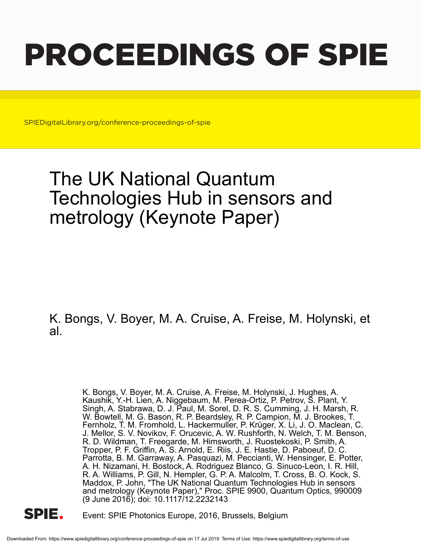# PROCEEDINGS OF SPIE

SPIEDigitalLibrary.org/conference-proceedings-of-spie

# The UK National Quantum Technologies Hub in sensors and metrology (Keynote Paper)

K. Bongs, V. Boyer, M. A. Cruise, A. Freise, M. Holynski, et al.

> K. Bongs, V. Boyer, M. A. Cruise, A. Freise, M. Holynski, J. Hughes, A. Kaushik, Y.-H. Lien, A. Niggebaum, M. Perea-Ortiz, P. Petrov, S. Plant, Y. Singh, A. Stabrawa, D. J. Paul, M. Sorel, D. R. S. Cumming, J. H. Marsh, R. W. Bowtell, M. G. Bason, R. P. Beardsley, R. P. Campion, M. J. Brookes, T. Fernholz, T. M. Fromhold, L. Hackermuller, P. Krüger, X. Li, J. O. Maclean, C. J. Mellor, S. V. Novikov, F. Orucevic, A. W. Rushforth, N. Welch, T. M. Benson, R. D. Wildman, T. Freegarde, M. Himsworth, J. Ruostekoski, P. Smith, A. Tropper, P. F. Griffin, A. S. Arnold, E. Riis, J. E. Hastie, D. Paboeuf, D. C. Parrotta, B. M. Garraway, A. Pasquazi, M. Peccianti, W. Hensinger, E. Potter, A. H. Nizamani, H. Bostock, A. Rodriguez Blanco, G. Sinuco-Leon, I. R. Hill, R. A. Williams, P. Gill, N. Hempler, G. P. A. Malcolm, T. Cross, B. O. Kock, S. Maddox, P. John, "The UK National Quantum Technologies Hub in sensors and metrology (Keynote Paper)," Proc. SPIE 9900, Quantum Optics, 990009 (9 June 2016); doi: 10.1117/12.2232143



Event: SPIE Photonics Europe, 2016, Brussels, Belgium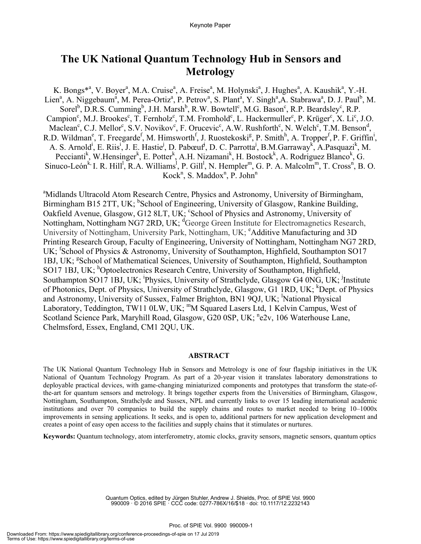# **The UK National Quantum Technology Hub in Sensors and Metrology**

K. Bongs<sup>\*a</sup>, V. Boyer<sup>a</sup>, M.A. Cruise<sup>a</sup>, A. Freise<sup>a</sup>, M. Holynski<sup>a</sup>, J. Hughes<sup>a</sup>, A. Kaushik<sup>a</sup>, Y.-H. Lien<sup>a</sup>, A. Niggebaum<sup>a</sup>, M. Perea-Ortiz<sup>a</sup>, P. Petrov<sup>a</sup>, S. Plant<sup>a</sup>, Y. Singh<sup>a</sup>, A. Stabrawa<sup>a</sup>, D. J. Paul<sup>b</sup>, M. Sorel<sup>b</sup>, D.R.S. Cumming<sup>b</sup>, J.H. Marsh<sup>b</sup>, R.W. Bowtell<sup>c</sup>, M.G. Bason<sup>c</sup>, R.P. Beardsley<sup>c</sup>, R.P. Campion<sup>c</sup>, M.J. Brookes<sup>c</sup>, T. Fernholz<sup>c</sup>, T.M. Fromhold<sup>c</sup>, L. Hackermuller<sup>c</sup>, P. Krüger<sup>c</sup>, X. Li<sup>c</sup>, J.O. Maclean<sup>c</sup>, C.J. Mellor<sup>c</sup>, S.V. Novikov<sup>c</sup>, F. Orucevic<sup>c</sup>, A.W. Rushforth<sup>c</sup>, N. Welch<sup>c</sup>, T.M. Benson<sup>d</sup>, R.D. Wildman<sup>e</sup>, T. Freegarde<sup>f</sup>, M. Himsworth<sup>f</sup>, J. Ruostekoski<sup>g</sup>, P. Smith<sup>h</sup>, A. Tropper<sup>f</sup>, P. F. Griffin<sup>i</sup>, A. S. Arnold<sup>i</sup>, E. Riis<sup>i</sup>, J. E. Hastie<sup>j</sup>, D. Pabœuf<sup>j</sup>, D. C. Parrotta<sup>j</sup>, B.M.Garraway<sup>k</sup>, A.Pasquazi<sup>k</sup>, M. Peccianti<sup>k</sup>, W.Hensinger<sup>k</sup>, E. Potter<sup>k</sup>, A.H. Nizamani<sup>k</sup>, H. Bostock<sup>k</sup>, A. Rodriguez Blanco<sup>k</sup>, G. Sinuco-León<sup>k,</sup> I. R. Hill<sup>l</sup>, R.A. Williams<sup>1</sup>, P. Gill<sup>1</sup>, N. Hempler<sup>m</sup>, G. P. A. Malcolm<sup>m</sup>, T. Cross<sup>n</sup>, B. O. Kock<sup>n</sup>, S. Maddox<sup>n</sup>, P. John<sup>n</sup>

<sup>a</sup>Midlands Ultracold Atom Research Centre, Physics and Astronomy, University of Birmingham, Birmingham B15 2TT, UK; <sup>b</sup>School of Engineering, University of Glasgow, Rankine Building, Oakfield Avenue, Glasgow, G12 8LT, UK; 'School of Physics and Astronomy, University of Nottingham, Nottingham NG7 2RD, UK; <sup>d</sup>George Green Institute for Electromagnetics Research, University of Nottingham, University Park, Nottingham, UK; <sup>e</sup>Additive Manufacturing and 3D Printing Research Group, Faculty of Engineering, University of Nottingham, Nottingham NG7 2RD, UK; <sup>f</sup>School of Physics & Astronomy, University of Southampton, Highfield, Southampton SO17 1BJ, UK; <sup>g</sup>School of Mathematical Sciences, University of Southampton, Highfield, Southampton SO17 1BJ, UK; <sup>h</sup>Optoelectronics Research Centre, University of Southampton, Highfield, Southampton SO17 1BJ, UK; <sup>i</sup>Physics, University of Strathclyde, Glasgow G4 0NG, UK; <sup>j</sup>Institute of Photonics, Dept. of Physics, University of Strathclyde, Glasgow, G1 1RD, UK; <sup>k</sup>Dept. of Physics and Astronomy, University of Sussex, Falmer Brighton, BN1 9QJ, UK; <sup>1</sup>National Physical Laboratory, Teddington, TW11 0LW, UK; "M Squared Lasers Ltd, 1 Kelvin Campus, West of Scotland Science Park, Maryhill Road, Glasgow, G20 0SP, UK; <sup>n</sup>e2v, 106 Waterhouse Lane, Chelmsford, Essex, England, CM1 2QU, UK.

# **ABSTRACT**

The UK National Quantum Technology Hub in Sensors and Metrology is one of four flagship initiatives in the UK National of Quantum Technology Program. As part of a 20-year vision it translates laboratory demonstrations to deployable practical devices, with game-changing miniaturized components and prototypes that transform the state-ofthe-art for quantum sensors and metrology. It brings together experts from the Universities of Birmingham, Glasgow, Nottingham, Southampton, Strathclyde and Sussex, NPL and currently links to over 15 leading international academic institutions and over 70 companies to build the supply chains and routes to market needed to bring 10–1000x improvements in sensing applications. It seeks, and is open to, additional partners for new application development and creates a point of easy open access to the facilities and supply chains that it stimulates or nurtures.

**Keywords:** Quantum technology, atom interferometry, atomic clocks, gravity sensors, magnetic sensors, quantum optics

Quantum Optics, edited by Jürgen Stuhler, Andrew J. Shields, Proc. of SPIE Vol. 9900 990009 · © 2016 SPIE · CCC code: 0277-786X/16/\$18 · doi: 10.1117/12.2232143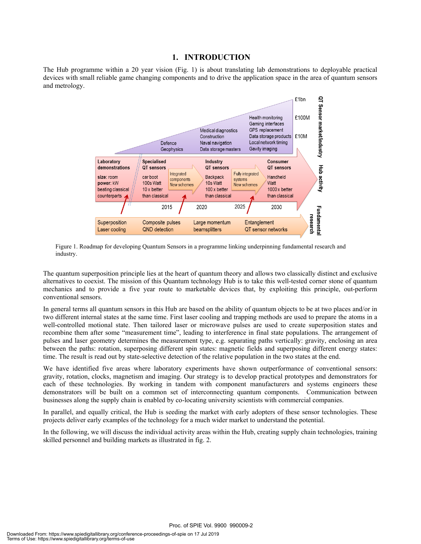# **1. INTRODUCTION**

The Hub programme within a 20 year vision (Fig. 1) is about translating lab demonstrations to deployable practical devices with small reliable game changing components and to drive the application space in the area of quantum sensors and metrology.



Figure 1. Roadmap for developing Quantum Sensors in a programme linking underpinning fundamental research and industry.

The quantum superposition principle lies at the heart of quantum theory and allows two classically distinct and exclusive alternatives to coexist. The mission of this Quantum technology Hub is to take this well-tested corner stone of quantum mechanics and to provide a five year route to marketable devices that, by exploiting this principle, out-perform conventional sensors.

In general terms all quantum sensors in this Hub are based on the ability of quantum objects to be at two places and/or in two different internal states at the same time. First laser cooling and trapping methods are used to prepare the atoms in a well-controlled motional state. Then tailored laser or microwave pulses are used to create superposition states and recombine them after some "measurement time", leading to interference in final state populations. The arrangement of pulses and laser geometry determines the measurement type, e.g. separating paths vertically: gravity, enclosing an area between the paths: rotation, superposing different spin states: magnetic fields and superposing different energy states: time. The result is read out by state-selective detection of the relative population in the two states at the end.

We have identified five areas where laboratory experiments have shown outperformance of conventional sensors: gravity, rotation, clocks, magnetism and imaging. Our strategy is to develop practical prototypes and demonstrators for each of these technologies. By working in tandem with component manufacturers and systems engineers these demonstrators will be built on a common set of interconnecting quantum components. Communication between businesses along the supply chain is enabled by co-locating university scientists with commercial companies.

In parallel, and equally critical, the Hub is seeding the market with early adopters of these sensor technologies. These projects deliver early examples of the technology for a much wider market to understand the potential.

In the following, we will discuss the individual activity areas within the Hub, creating supply chain technologies, training skilled personnel and building markets as illustrated in fig. 2.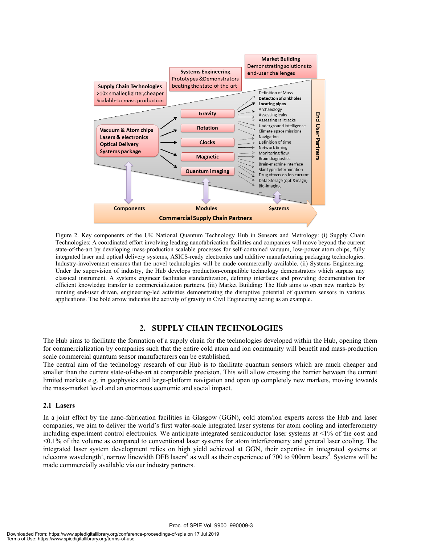

Figure 2. Key components of the UK National Quantum Technology Hub in Sensors and Metrology: (i) Supply Chain Technologies: A coordinated effort involving leading nanofabrication facilities and companies will move beyond the current state-of-the-art by developing mass-production scalable processes for self-contained vacuum, low-power atom chips, fully integrated laser and optical delivery systems, ASICS-ready electronics and additive manufacturing packaging technologies. Industry-involvement ensures that the novel technologies will be made commercially available. (ii) Systems Engineering: Under the supervision of industry, the Hub develops production-compatible technology demonstrators which surpass any classical instrument. A systems engineer facilitates standardization, defining interfaces and providing documentation for efficient knowledge transfer to commercialization partners. (iii) Market Building: The Hub aims to open new markets by running end-user driven, engineering-led activities demonstrating the disruptive potential of quantum sensors in various applications. The bold arrow indicates the activity of gravity in Civil Engineering acting as an example.

# **2. SUPPLY CHAIN TECHNOLOGIES**

The Hub aims to facilitate the formation of a supply chain for the technologies developed within the Hub, opening them for commercialization by companies such that the entire cold atom and ion community will benefit and mass-production scale commercial quantum sensor manufacturers can be established.

The central aim of the technology research of our Hub is to facilitate quantum sensors which are much cheaper and smaller than the current state-of-the-art at comparable precision. This will allow crossing the barrier between the current limited markets e.g. in geophysics and large-platform navigation and open up completely new markets, moving towards the mass-market level and an enormous economic and social impact.

#### **2.1 Lasers**

In a joint effort by the nano-fabrication facilities in Glasgow (GGN), cold atom/ion experts across the Hub and laser companies, we aim to deliver the world's first wafer-scale integrated laser systems for atom cooling and interferometry including experiment control electronics. We anticipate integrated semiconductor laser systems at <1% of the cost and <0.1% of the volume as compared to conventional laser systems for atom interferometry and general laser cooling. The integrated laser system development relies on high yield achieved at GGN, their expertise in integrated systems at telecoms wavelength<sup>1</sup>, narrow linewidth DFB lasers<sup>2</sup> as well as their experience of 700 to 900nm lasers<sup>3</sup>. Systems will be made commercially available via our industry partners.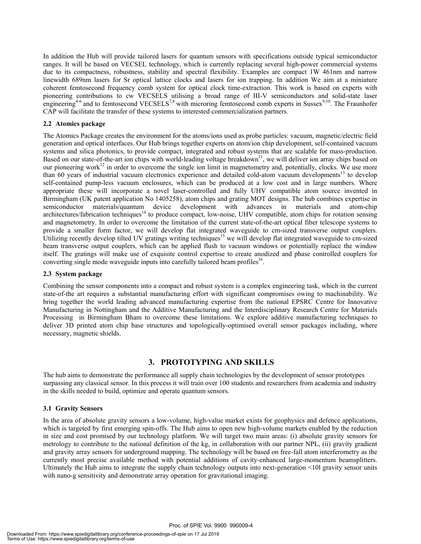In addition the Hub will provide tailored lasers for quantum sensors with specifications outside typical semiconductor ranges. It will be based on VECSEL technology, which is currently replacing several high-power commercial systems due to its compactness, robustness, stability and spectral flexibility. Examples are compact 1W 461nm and narrow linewidth 689nm lasers for Sr optical lattice clocks and lasers for ion trapping. In addition We aim at a miniature coherent femtosecond frequency comb system for optical clock time-extraction. This work is based on experts with pioneering contributions to cw VECSELS utilising a broad range of III-V semiconductors and solid-state laser engineering<sup>4-6</sup> and to femtosecond VECSELS<sup>7,8</sup> with microring femtosecond comb experts in Sussex<sup>9,10</sup>. The Fraunhofer CAP will facilitate the transfer of these systems to interested commercialization partners.

# **2.2 Atomics package**

The Atomics Package creates the environment for the atoms/ions used as probe particles: vacuum, magnetic/electric field generation and optical interfaces. Our Hub brings together experts on atom/ion chip development, self-contained vacuum systems and silica photonics, to provide compact, integrated and robust systems that are scalable for mass-production. Based on our state-of-the-art ion chips with world-leading voltage breakdown<sup>11</sup>, we will deliver ion array chips based on our pioneering work<sup>12</sup> in order to overcome the single ion limit in magnetometry and, potentially, clocks. We use more than 60 years of industrial vacuum electronics experience and detailed cold-atom vacuum developments<sup>13</sup> to develop self-contained pump-less vacuum enclosures, which can be produced at a low cost and in large numbers. Where appropriate these will incorporate a novel laser-controlled and fully UHV compatible atom source invented in Birmingham (UK patent application No 1405258), atom chips and grating MOT designs. The hub combines expertise in semiconductor materials/quantum device development with advances in materials and atom-chip architectures/fabrication techniques<sup>14</sup> to produce compact, low-noise, UHV compatible, atom chips for rotation sensing and magnetometry. In order to overcome the limitation of the current state-of-the-art optical fiber telescope systems to provide a smaller form factor, we will develop flat integrated waveguide to cm-sized transverse output couplers. Utilizing recently develop tilted UV gratings writing techniques<sup>15</sup> we will develop flat integrated waveguide to cm-sized beam transverse output couplers, which can be applied flush to vacuum windows or potentially replace the window itself. The gratings will make use of exquisite control expertise to create anodized and phase controlled couplers for converting single mode waveguide inputs into carefully tailored beam profiles<sup>16</sup>.

# **2.3 System package**

Combining the sensor components into a compact and robust system is a complex engineering task, which in the current state-of-the art requires a substantial manufacturing effort with significant compromises owing to machinability. We bring together the world leading advanced manufacturing expertise from the national EPSRC Centre for Innovative Manufacturing in Nottingham and the Additive Manufacturing and the Interdisciplinary Research Centre for Materials Processing in Birmingham Bham to overcome these limitations. We explore additive manufacturing techniques to deliver 3D printed atom chip base structures and topologically-optimised overall sensor packages including, where necessary, magnetic shields.

# **3. PROTOTYPING AND SKILLS**

The hub aims to demonstrate the performance all supply chain technologies by the development of sensor prototypes surpassing any classical sensor. In this process it will train over 100 students and researchers from academia and industry in the skills needed to build, optimize and operate quantum sensors.

# **3.1 Gravity Sensors**

In the area of absolute gravity sensors a low-volume, high-value market exists for geophysics and defence applications, which is targeted by first emerging spin-offs. The Hub aims to open new high-volume markets enabled by the reduction in size and cost promised by our technology platform. We will target two main areas: (i) absolute gravity sensors for metrology to contribute to the national definition of the kg, in collaboration with our partner NPL, (ii) gravity gradient and gravity array sensors for underground mapping. The technology will be based on free-fall atom interferometry as the currently most precise available method with potential additions of cavity-enhanced large-momentum beamsplitters. Ultimately the Hub aims to integrate the supply chain technology outputs into next-generation <10l gravity sensor units with nano-g sensitivity and demonstrate array operation for gravitational imaging.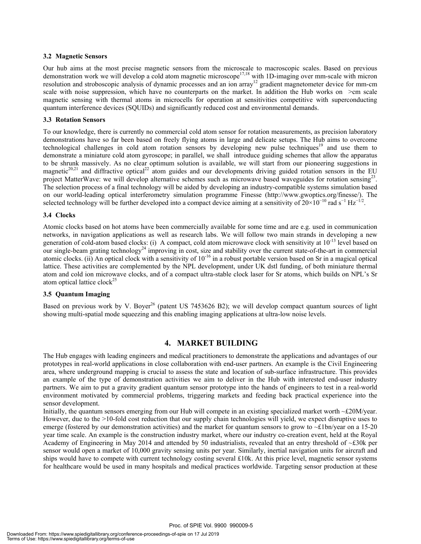# **3.2 Magnetic Sensors**

Our hub aims at the most precise magnetic sensors from the microscale to macroscopic scales. Based on previous demonstration work we will develop a cold atom magnetic microscope<sup>17,18</sup> with 1D-imaging over mm-scale with micron resolution and stroboscopic analysis of dynamic processes and an ion array<sup>12</sup> gradient magnetometer device for mm-cm scale with noise suppression, which have no counterparts on the market. In addition the Hub works on  $\geq$ cm scale magnetic sensing with thermal atoms in microcells for operation at sensitivities competitive with superconducting quantum interference devices (SQUIDs) and significantly reduced cost and environmental demands.

# **3.3 Rotation Sensors**

To our knowledge, there is currently no commercial cold atom sensor for rotation measurements, as precision laboratory demonstrations have so far been based on freely flying atoms in large and delicate setups. The Hub aims to overcome technological challenges in cold atom rotation sensors by developing new pulse techniques<sup>19</sup> and use them to demonstrate a miniature cold atom gyroscope; in parallel, we shall introduce guiding schemes that allow the apparatus to be shrunk massively. As no clear optimum solution is available, we will start from our pioneering suggestions in magnetic<sup>20,21</sup> and diffractive optical<sup>22</sup> atom guides and our developments driving guided rotation sensors in the EU project MatterWave: we will develop alternative schemes such as microwave based waveguides for rotation sensing $^{23}$ . The selection process of a final technology will be aided by developing an industry-compatible systems simulation based on our world-leading optical interferometry simulation programme Finesse (http://www.gwoptics.org/finesse/). The selected technology will be further developed into a compact device aiming at a sensitivity of  $20\times10^{-10}$  rad s<sup>-1</sup> Hz<sup>-1/2</sup>.

# **3.4 Clocks**

Atomic clocks based on hot atoms have been commercially available for some time and are e.g. used in communication networks, in navigation applications as well as research labs. We will follow two main strands in developing a new generation of cold-atom based clocks: (i) A compact, cold atom microwave clock with sensitivity at 10<sup>-13</sup> level based on our single-beam grating technology<sup>24</sup> improving in cost, size and stability over the current state-of-the-art in commercial atomic clocks. (ii) An optical clock with a sensitivity of 10<sup>-16</sup> in a robust portable version based on Sr in a magical optical lattice. These activities are complemented by the NPL development, under UK dstl funding, of both miniature thermal atom and cold ion microwave clocks, and of a compact ultra-stable clock laser for Sr atoms, which builds on NPL's Sr atom optical lattice clock<sup>25</sup>

# **3.5 Quantum Imaging**

Based on previous work by V. Boyer<sup>26</sup> (patent US 7453626 B2); we will develop compact quantum sources of light showing multi-spatial mode squeezing and this enabling imaging applications at ultra-low noise levels.

# **4. MARKET BUILDING**

The Hub engages with leading engineers and medical practitioners to demonstrate the applications and advantages of our prototypes in real-world applications in close collaboration with end-user partners. An example is the Civil Engineering area, where underground mapping is crucial to assess the state and location of sub-surface infrastructure. This provides an example of the type of demonstration activities we aim to deliver in the Hub with interested end-user industry partners. We aim to put a gravity gradient quantum sensor prototype into the hands of engineers to test in a real-world environment motivated by commercial problems, triggering markets and feeding back practical experience into the sensor development.

Initially, the quantum sensors emerging from our Hub will compete in an existing specialized market worth ~£20M/year. However, due to the >10-fold cost reduction that our supply chain technologies will yield, we expect disruptive uses to emerge (fostered by our demonstration activities) and the market for quantum sensors to grow to ~£1bn/year on a 15-20 year time scale. An example is the construction industry market, where our industry co-creation event, held at the Royal Academy of Engineering in May 2014 and attended by 50 industrialists, revealed that an entry threshold of ~£30k per sensor would open a market of 10,000 gravity sensing units per year. Similarly, inertial navigation units for aircraft and ships would have to compete with current technology costing several £10k. At this price level, magnetic sensor systems for healthcare would be used in many hospitals and medical practices worldwide. Targeting sensor production at these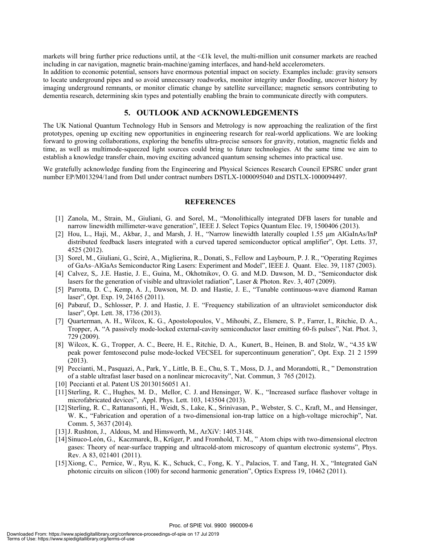markets will bring further price reductions until, at the  $\leq$  f lk level, the multi-million unit consumer markets are reached including in car navigation, magnetic brain-machine/gaming interfaces, and hand-held accelerometers.

In addition to economic potential, sensors have enormous potential impact on society. Examples include: gravity sensors to locate underground pipes and so avoid unnecessary roadworks, monitor integrity under flooding, uncover history by imaging underground remnants, or monitor climatic change by satellite surveillance; magnetic sensors contributing to dementia research, determining skin types and potentially enabling the brain to communicate directly with computers.

# **5. OUTLOOK AND ACKNOWLEDGEMENTS**

The UK National Quantum Technology Hub in Sensors and Metrology is now approaching the realization of the first prototypes, opening up exciting new opportunities in engineering research for real-world applications. We are looking forward to growing collaborations, exploring the benefits ultra-precise sensors for gravity, rotation, magnetic fields and time, as well as multimode-squeezed light sources could bring to future technologies. At the same time we aim to establish a knowledge transfer chain, moving exciting advanced quantum sensing schemes into practical use.

We gratefully acknowledge funding from the Engineering and Physical Sciences Research Council EPSRC under grant number EP/M013294/1and from Dstl under contract numbers DSTLX-1000095040 and DSTLX-1000094497.

### **REFERENCES**

- [1] Zanola, M., Strain, M., Giuliani, G. and Sorel, M., "Monolithically integrated DFB lasers for tunable and narrow linewidth millimeter-wave generation", IEEE J. Select Topics Quantum Elec. 19, 1500406 (2013).
- [2] Hou, L., Haji, M., Akbar, J., and Marsh, J. H., "Narrow linewidth laterally coupled 1.55 μm AlGaInAs/InP distributed feedback lasers integrated with a curved tapered semiconductor optical amplifier", Opt. Letts. 37, 4525 (2012).
- [3] Sorel, M., Giuliani, G., Scirè, A., Miglierina, R., Donati, S., Fellow and Laybourn, P. J. R., "Operating Regimes of GaAs–AlGaAs Semiconductor Ring Lasers: Experiment and Model", IEEE J. Quant. Elec. 39, 1187 (2003).
- [4] Calvez, S,. J.E. Hastie, J. E., Guina, M., Okhotnikov, O. G. and M.D. Dawson, M. D., "Semiconductor disk lasers for the generation of visible and ultraviolet radiation", Laser & Photon. Rev. 3, 407 (2009).
- [5] Parrotta, D. C., Kemp, A. J., Dawson, M. D. and Hastie, J. E., "Tunable continuous-wave diamond Raman laser", Opt. Exp. 19, 24165 (2011).
- [6] Pabœuf, D., Schlosser, P. J. and Hastie, J. E. "Frequency stabilization of an ultraviolet semiconductor disk laser", Opt. Lett. 38, 1736 (2013).
- [7] Quarterman, A. H., Wilcox, K. G., Apostolopoulos, V., Mihoubi, Z., Elsmere, S. P., Farrer, I., Ritchie, D. A., Tropper, A. "A passively mode-locked external-cavity semiconductor laser emitting 60-fs pulses", Nat. Phot. 3, 729 (2009).
- [8] Wilcox, K. G., Tropper, A. C., Beere, H. E., Ritchie, D. A., Kunert, B., Heinen, B. and Stolz, W., "4.35 kW peak power femtosecond pulse mode-locked VECSEL for supercontinuum generation", Opt. Exp. 21 2 1599 (2013).
- [9] Peccianti, M., Pasquazi, A., Park, Y., Little, B. E., Chu, S. T., Moss, D. J., and Morandotti, R., " Demonstration of a stable ultrafast laser based on a nonlinear microcavity", Nat. Commun, 3 765 (2012).
- [10] Peccianti et al. Patent US 20130156051 A1.
- [11]Sterling, R. C., Hughes, M. D., Mellor, C. J. and Hensinger, W. K., "Increased surface flashover voltage in microfabricated devices", Appl. Phys. Lett. 103, 143504 (2013).
- [12]Sterling, R. C., Rattanasonti, H., Weidt, S., Lake, K., Srinivasan, P., Webster, S. C., Kraft, M., and Hensinger, W. K., "Fabrication and operation of a two-dimensional ion-trap lattice on a high-voltage microchip", Nat. Comm. 5, 3637 (2014).
- [13] J. Rushton, J., Aldous, M. and Himsworth, M., ArXiV: 1405.3148.
- [14]Sinuco-León, G., Kaczmarek, B., Krüger, P. and Fromhold, T. M., " Atom chips with two-dimensional electron gases: Theory of near-surface trapping and ultracold-atom microscopy of quantum electronic systems", Phys. Rev. A 83, 021401 (2011).
- [15]Xiong, C., Pernice, W., Ryu, K. K., Schuck, C., Fong, K. Y., Palacios, T. and Tang, H. X., "Integrated GaN photonic circuits on silicon (100) for second harmonic generation", Optics Express 19, 10462 (2011).